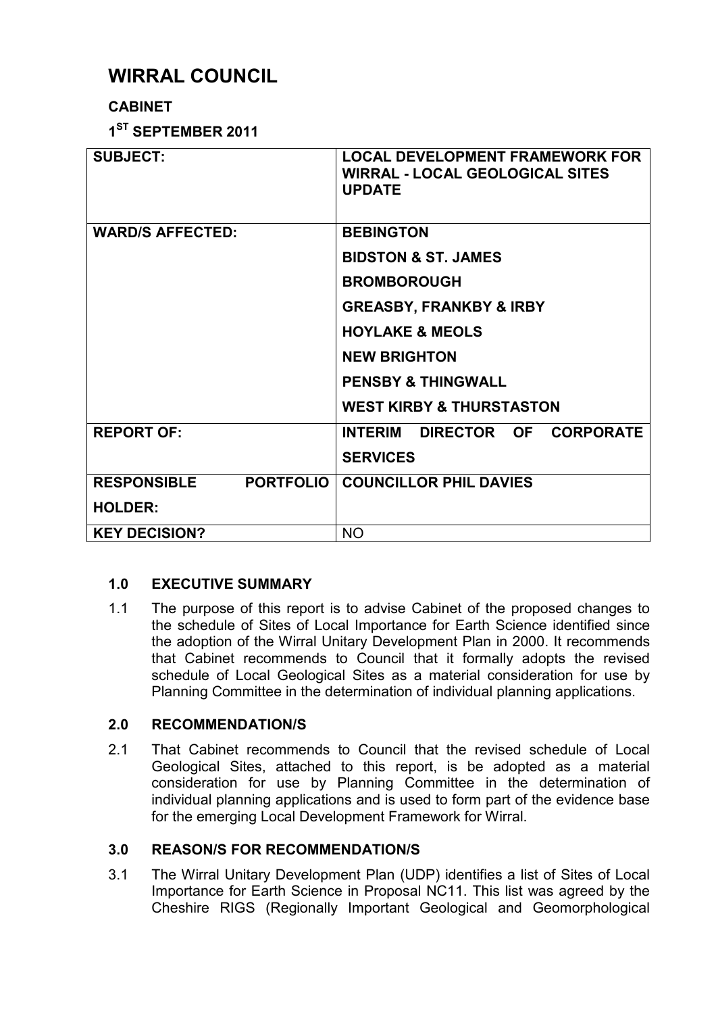# **WIRRAL COUNCIL**

# **CABINET**

**1 ST SEPTEMBER 2011** 

| <b>SUBJECT:</b>                        | <b>LOCAL DEVELOPMENT FRAMEWORK FOR</b><br><b>WIRRAL - LOCAL GEOLOGICAL SITES</b><br><b>UPDATE</b> |  |
|----------------------------------------|---------------------------------------------------------------------------------------------------|--|
| <b>WARD/S AFFECTED:</b>                | <b>BEBINGTON</b>                                                                                  |  |
|                                        | <b>BIDSTON &amp; ST. JAMES</b>                                                                    |  |
|                                        | <b>BROMBOROUGH</b>                                                                                |  |
|                                        | <b>GREASBY, FRANKBY &amp; IRBY</b>                                                                |  |
|                                        | <b>HOYLAKE &amp; MEOLS</b>                                                                        |  |
|                                        | <b>NEW BRIGHTON</b>                                                                               |  |
|                                        | <b>PENSBY &amp; THINGWALL</b>                                                                     |  |
|                                        | <b>WEST KIRBY &amp; THURSTASTON</b>                                                               |  |
| <b>REPORT OF:</b>                      | INTERIM DIRECTOR OF CORPORATE                                                                     |  |
|                                        | <b>SERVICES</b>                                                                                   |  |
| <b>PORTFOLIO</b><br><b>RESPONSIBLE</b> | <b>COUNCILLOR PHIL DAVIES</b>                                                                     |  |
| <b>HOLDER:</b>                         |                                                                                                   |  |
| <b>KEY DECISION?</b>                   | <b>NO</b>                                                                                         |  |

# **1.0 EXECUTIVE SUMMARY**

1.1 The purpose of this report is to advise Cabinet of the proposed changes to the schedule of Sites of Local Importance for Earth Science identified since the adoption of the Wirral Unitary Development Plan in 2000. It recommends that Cabinet recommends to Council that it formally adopts the revised schedule of Local Geological Sites as a material consideration for use by Planning Committee in the determination of individual planning applications.

## **2.0 RECOMMENDATION/S**

2.1 That Cabinet recommends to Council that the revised schedule of Local Geological Sites, attached to this report, is be adopted as a material consideration for use by Planning Committee in the determination of individual planning applications and is used to form part of the evidence base for the emerging Local Development Framework for Wirral.

# **3.0 REASON/S FOR RECOMMENDATION/S**

3.1 The Wirral Unitary Development Plan (UDP) identifies a list of Sites of Local Importance for Earth Science in Proposal NC11. This list was agreed by the Cheshire RIGS (Regionally Important Geological and Geomorphological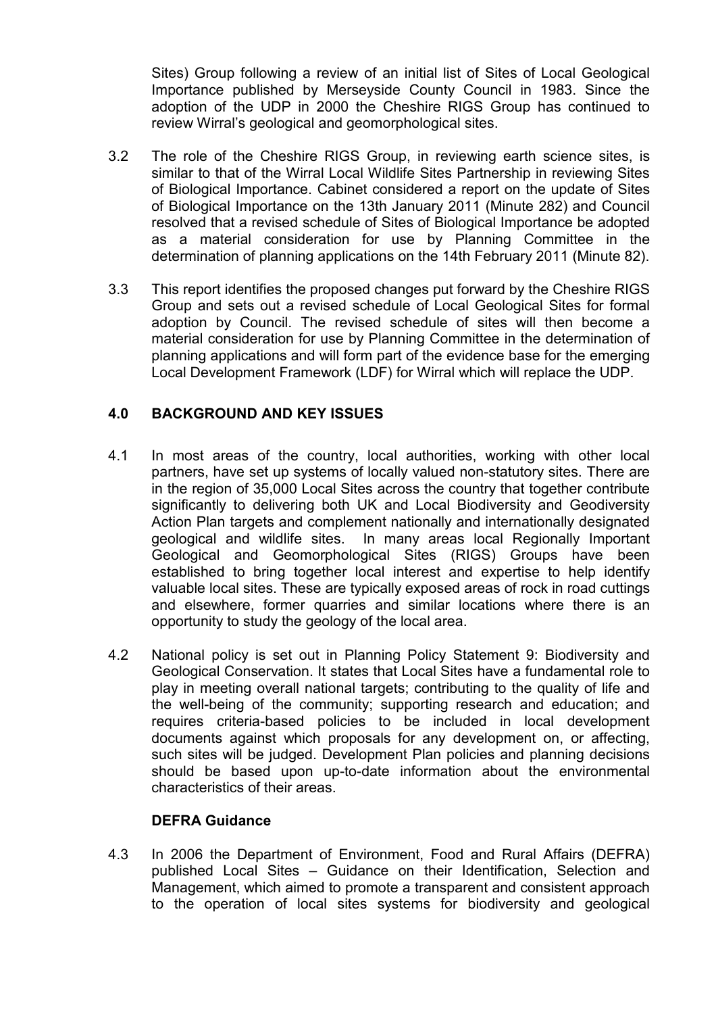Sites) Group following a review of an initial list of Sites of Local Geological Importance published by Merseyside County Council in 1983. Since the adoption of the UDP in 2000 the Cheshire RIGS Group has continued to review Wirral's geological and geomorphological sites.

- 3.2 The role of the Cheshire RIGS Group, in reviewing earth science sites, is similar to that of the Wirral Local Wildlife Sites Partnership in reviewing Sites of Biological Importance. Cabinet considered a report on the update of Sites of Biological Importance on the 13th January 2011 (Minute 282) and Council resolved that a revised schedule of Sites of Biological Importance be adopted as a material consideration for use by Planning Committee in the determination of planning applications on the 14th February 2011 (Minute 82).
- 3.3 This report identifies the proposed changes put forward by the Cheshire RIGS Group and sets out a revised schedule of Local Geological Sites for formal adoption by Council. The revised schedule of sites will then become a material consideration for use by Planning Committee in the determination of planning applications and will form part of the evidence base for the emerging Local Development Framework (LDF) for Wirral which will replace the UDP.

## **4.0 BACKGROUND AND KEY ISSUES**

- 4.1 In most areas of the country, local authorities, working with other local partners, have set up systems of locally valued non-statutory sites. There are in the region of 35,000 Local Sites across the country that together contribute significantly to delivering both UK and Local Biodiversity and Geodiversity Action Plan targets and complement nationally and internationally designated geological and wildlife sites. In many areas local Regionally Important Geological and Geomorphological Sites (RIGS) Groups have been established to bring together local interest and expertise to help identify valuable local sites. These are typically exposed areas of rock in road cuttings and elsewhere, former quarries and similar locations where there is an opportunity to study the geology of the local area.
- 4.2 National policy is set out in Planning Policy Statement 9: Biodiversity and Geological Conservation. It states that Local Sites have a fundamental role to play in meeting overall national targets; contributing to the quality of life and the well-being of the community; supporting research and education; and requires criteria-based policies to be included in local development documents against which proposals for any development on, or affecting, such sites will be judged. Development Plan policies and planning decisions should be based upon up-to-date information about the environmental characteristics of their areas.

## **DEFRA Guidance**

4.3 In 2006 the Department of Environment, Food and Rural Affairs (DEFRA) published Local Sites – Guidance on their Identification, Selection and Management, which aimed to promote a transparent and consistent approach to the operation of local sites systems for biodiversity and geological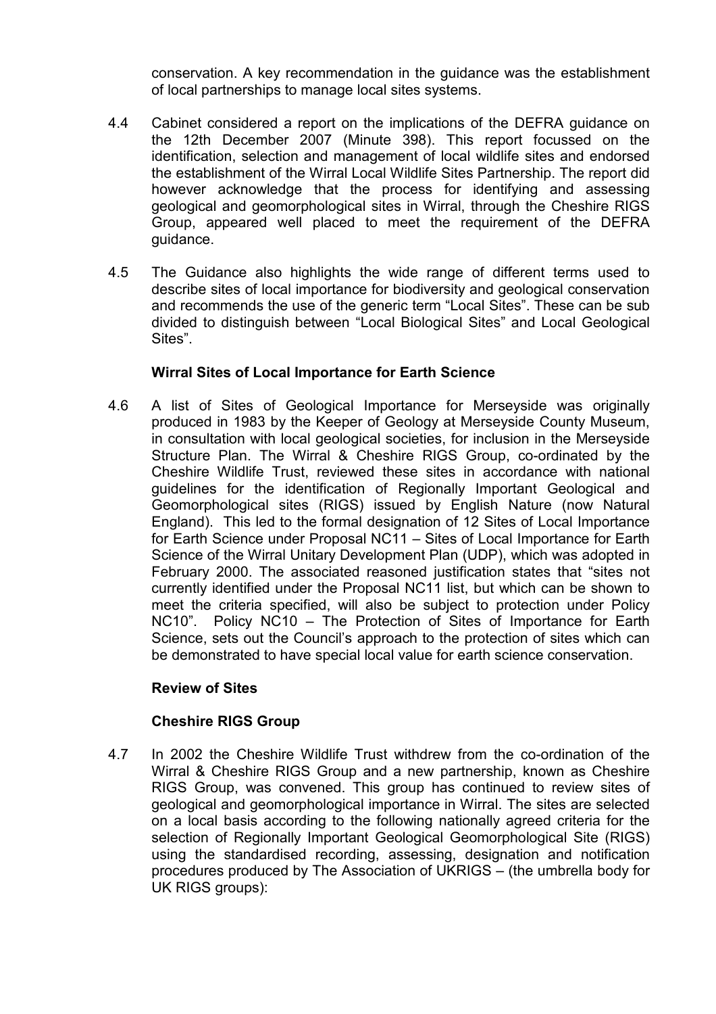conservation. A key recommendation in the guidance was the establishment of local partnerships to manage local sites systems.

- 4.4 Cabinet considered a report on the implications of the DEFRA guidance on the 12th December 2007 (Minute 398). This report focussed on the identification, selection and management of local wildlife sites and endorsed the establishment of the Wirral Local Wildlife Sites Partnership. The report did however acknowledge that the process for identifying and assessing geological and geomorphological sites in Wirral, through the Cheshire RIGS Group, appeared well placed to meet the requirement of the DEFRA guidance.
- 4.5 The Guidance also highlights the wide range of different terms used to describe sites of local importance for biodiversity and geological conservation and recommends the use of the generic term "Local Sites". These can be sub divided to distinguish between "Local Biological Sites" and Local Geological Sites".

#### **Wirral Sites of Local Importance for Earth Science**

4.6 A list of Sites of Geological Importance for Merseyside was originally produced in 1983 by the Keeper of Geology at Merseyside County Museum, in consultation with local geological societies, for inclusion in the Merseyside Structure Plan. The Wirral & Cheshire RIGS Group, co-ordinated by the Cheshire Wildlife Trust, reviewed these sites in accordance with national guidelines for the identification of Regionally Important Geological and Geomorphological sites (RIGS) issued by English Nature (now Natural England). This led to the formal designation of 12 Sites of Local Importance for Earth Science under Proposal NC11 – Sites of Local Importance for Earth Science of the Wirral Unitary Development Plan (UDP), which was adopted in February 2000. The associated reasoned justification states that "sites not currently identified under the Proposal NC11 list, but which can be shown to meet the criteria specified, will also be subject to protection under Policy NC10". Policy NC10 – The Protection of Sites of Importance for Earth Science, sets out the Council's approach to the protection of sites which can be demonstrated to have special local value for earth science conservation.

#### **Review of Sites**

#### **Cheshire RIGS Group**

4.7 In 2002 the Cheshire Wildlife Trust withdrew from the co-ordination of the Wirral & Cheshire RIGS Group and a new partnership, known as Cheshire RIGS Group, was convened. This group has continued to review sites of geological and geomorphological importance in Wirral. The sites are selected on a local basis according to the following nationally agreed criteria for the selection of Regionally Important Geological Geomorphological Site (RIGS) using the standardised recording, assessing, designation and notification procedures produced by The Association of UKRIGS – (the umbrella body for UK RIGS groups):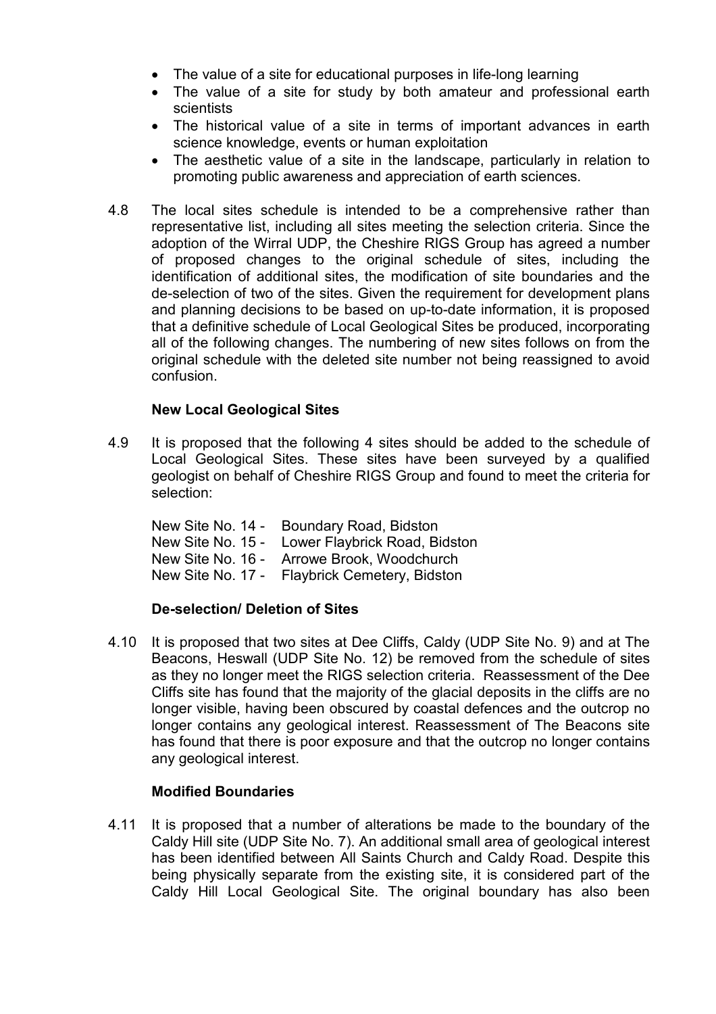- The value of a site for educational purposes in life-long learning
- The value of a site for study by both amateur and professional earth scientists
- The historical value of a site in terms of important advances in earth science knowledge, events or human exploitation
- The aesthetic value of a site in the landscape, particularly in relation to promoting public awareness and appreciation of earth sciences.
- 4.8 The local sites schedule is intended to be a comprehensive rather than representative list, including all sites meeting the selection criteria. Since the adoption of the Wirral UDP, the Cheshire RIGS Group has agreed a number of proposed changes to the original schedule of sites, including the identification of additional sites, the modification of site boundaries and the de-selection of two of the sites. Given the requirement for development plans and planning decisions to be based on up-to-date information, it is proposed that a definitive schedule of Local Geological Sites be produced, incorporating all of the following changes. The numbering of new sites follows on from the original schedule with the deleted site number not being reassigned to avoid confusion.

#### **New Local Geological Sites**

4.9 It is proposed that the following 4 sites should be added to the schedule of Local Geological Sites. These sites have been surveyed by a qualified geologist on behalf of Cheshire RIGS Group and found to meet the criteria for selection:

| New Site No. 14 - | Boundary Road, Bidston                          |
|-------------------|-------------------------------------------------|
|                   | New Site No. 15 - Lower Flaybrick Road, Bidston |
|                   | New Site No. 16 - Arrowe Brook, Woodchurch      |
|                   | New Site No. 17 - Flaybrick Cemetery, Bidston   |

## **De-selection/ Deletion of Sites**

4.10 It is proposed that two sites at Dee Cliffs, Caldy (UDP Site No. 9) and at The Beacons, Heswall (UDP Site No. 12) be removed from the schedule of sites as they no longer meet the RIGS selection criteria. Reassessment of the Dee Cliffs site has found that the majority of the glacial deposits in the cliffs are no longer visible, having been obscured by coastal defences and the outcrop no longer contains any geological interest. Reassessment of The Beacons site has found that there is poor exposure and that the outcrop no longer contains any geological interest.

#### **Modified Boundaries**

4.11 It is proposed that a number of alterations be made to the boundary of the Caldy Hill site (UDP Site No. 7). An additional small area of geological interest has been identified between All Saints Church and Caldy Road. Despite this being physically separate from the existing site, it is considered part of the Caldy Hill Local Geological Site. The original boundary has also been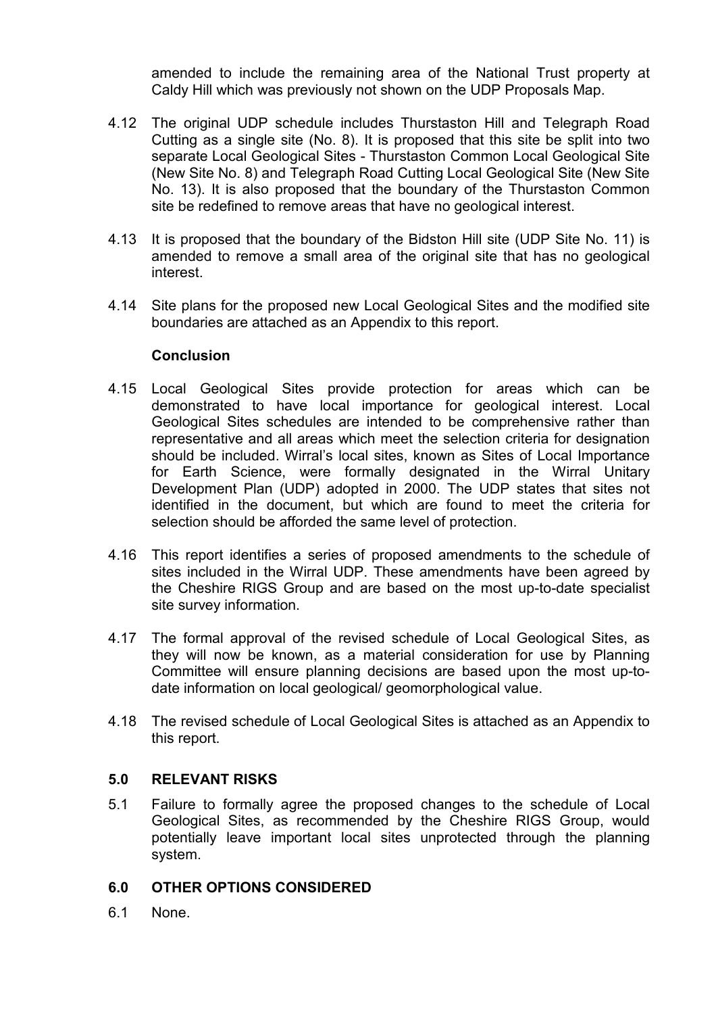amended to include the remaining area of the National Trust property at Caldy Hill which was previously not shown on the UDP Proposals Map.

- 4.12 The original UDP schedule includes Thurstaston Hill and Telegraph Road Cutting as a single site (No. 8). It is proposed that this site be split into two separate Local Geological Sites - Thurstaston Common Local Geological Site (New Site No. 8) and Telegraph Road Cutting Local Geological Site (New Site No. 13). It is also proposed that the boundary of the Thurstaston Common site be redefined to remove areas that have no geological interest.
- 4.13 It is proposed that the boundary of the Bidston Hill site (UDP Site No. 11) is amended to remove a small area of the original site that has no geological interest.
- 4.14 Site plans for the proposed new Local Geological Sites and the modified site boundaries are attached as an Appendix to this report.

#### **Conclusion**

- 4.15 Local Geological Sites provide protection for areas which can be demonstrated to have local importance for geological interest. Local Geological Sites schedules are intended to be comprehensive rather than representative and all areas which meet the selection criteria for designation should be included. Wirral's local sites, known as Sites of Local Importance for Earth Science, were formally designated in the Wirral Unitary Development Plan (UDP) adopted in 2000. The UDP states that sites not identified in the document, but which are found to meet the criteria for selection should be afforded the same level of protection.
- 4.16 This report identifies a series of proposed amendments to the schedule of sites included in the Wirral UDP. These amendments have been agreed by the Cheshire RIGS Group and are based on the most up-to-date specialist site survey information.
- 4.17 The formal approval of the revised schedule of Local Geological Sites, as they will now be known, as a material consideration for use by Planning Committee will ensure planning decisions are based upon the most up-todate information on local geological/ geomorphological value.
- 4.18 The revised schedule of Local Geological Sites is attached as an Appendix to this report.

#### **5.0 RELEVANT RISKS**

5.1 Failure to formally agree the proposed changes to the schedule of Local Geological Sites, as recommended by the Cheshire RIGS Group, would potentially leave important local sites unprotected through the planning system.

## **6.0 OTHER OPTIONS CONSIDERED**

6.1 None.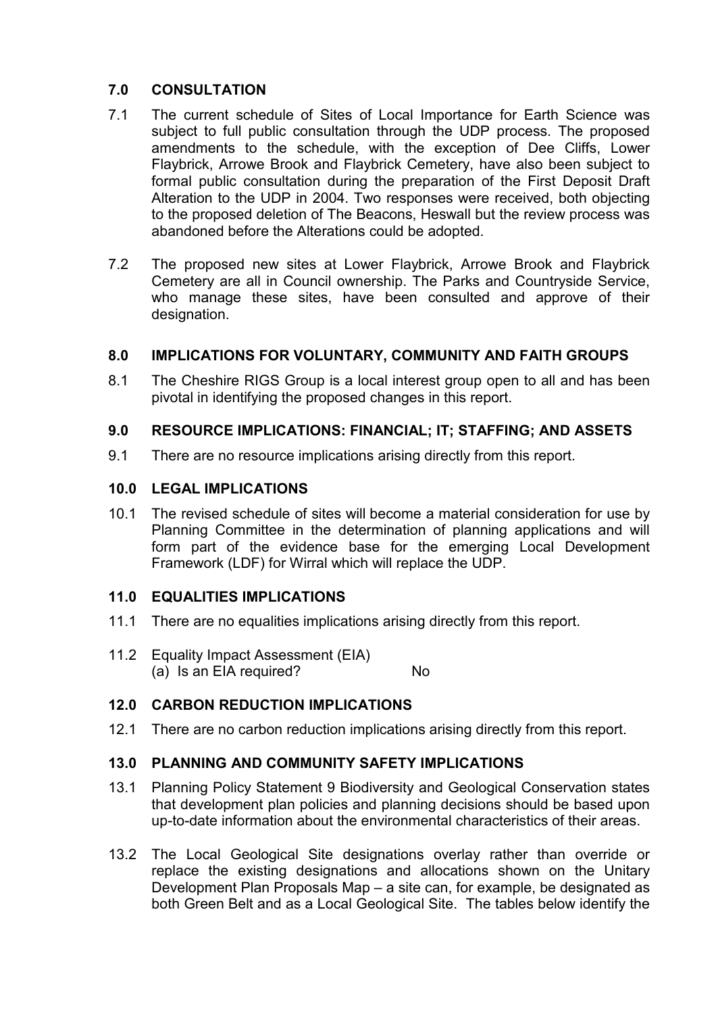## **7.0 CONSULTATION**

- 7.1 The current schedule of Sites of Local Importance for Earth Science was subject to full public consultation through the UDP process. The proposed amendments to the schedule, with the exception of Dee Cliffs, Lower Flaybrick, Arrowe Brook and Flaybrick Cemetery, have also been subject to formal public consultation during the preparation of the First Deposit Draft Alteration to the UDP in 2004. Two responses were received, both objecting to the proposed deletion of The Beacons, Heswall but the review process was abandoned before the Alterations could be adopted.
- 7.2 The proposed new sites at Lower Flaybrick, Arrowe Brook and Flaybrick Cemetery are all in Council ownership. The Parks and Countryside Service, who manage these sites, have been consulted and approve of their designation.

## **8.0 IMPLICATIONS FOR VOLUNTARY, COMMUNITY AND FAITH GROUPS**

8.1 The Cheshire RIGS Group is a local interest group open to all and has been pivotal in identifying the proposed changes in this report.

#### **9.0 RESOURCE IMPLICATIONS: FINANCIAL; IT; STAFFING; AND ASSETS**

9.1 There are no resource implications arising directly from this report.

#### **10.0 LEGAL IMPLICATIONS**

10.1 The revised schedule of sites will become a material consideration for use by Planning Committee in the determination of planning applications and will form part of the evidence base for the emerging Local Development Framework (LDF) for Wirral which will replace the UDP.

#### **11.0 EQUALITIES IMPLICATIONS**

- 11.1 There are no equalities implications arising directly from this report.
- 11.2 Equality Impact Assessment (EIA) (a) Is an EIA required? No

## **12.0 CARBON REDUCTION IMPLICATIONS**

12.1 There are no carbon reduction implications arising directly from this report.

## **13.0 PLANNING AND COMMUNITY SAFETY IMPLICATIONS**

- 13.1 Planning Policy Statement 9 Biodiversity and Geological Conservation states that development plan policies and planning decisions should be based upon up-to-date information about the environmental characteristics of their areas.
- 13.2 The Local Geological Site designations overlay rather than override or replace the existing designations and allocations shown on the Unitary Development Plan Proposals Map – a site can, for example, be designated as both Green Belt and as a Local Geological Site. The tables below identify the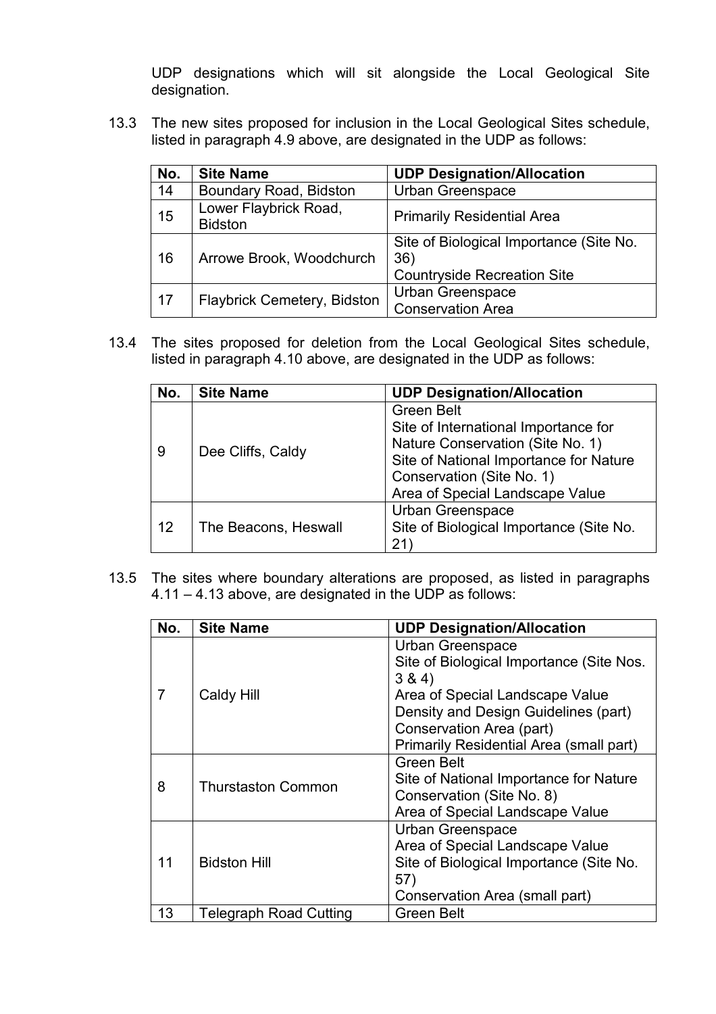UDP designations which will sit alongside the Local Geological Site designation.

13.3 The new sites proposed for inclusion in the Local Geological Sites schedule, listed in paragraph 4.9 above, are designated in the UDP as follows:

| No. | <b>Site Name</b>                        | <b>UDP Designation/Allocation</b>                                                    |  |
|-----|-----------------------------------------|--------------------------------------------------------------------------------------|--|
| 14  | Boundary Road, Bidston                  | Urban Greenspace                                                                     |  |
| 15  | Lower Flaybrick Road,<br><b>Bidston</b> | <b>Primarily Residential Area</b>                                                    |  |
| 16  | Arrowe Brook, Woodchurch                | Site of Biological Importance (Site No.<br>36)<br><b>Countryside Recreation Site</b> |  |
| 17  | Flaybrick Cemetery, Bidston             | <b>Urban Greenspace</b><br><b>Conservation Area</b>                                  |  |

13.4 The sites proposed for deletion from the Local Geological Sites schedule, listed in paragraph 4.10 above, are designated in the UDP as follows:

| No. | <b>Site Name</b>     | <b>UDP Designation/Allocation</b>                                                                                                                                                                       |  |
|-----|----------------------|---------------------------------------------------------------------------------------------------------------------------------------------------------------------------------------------------------|--|
| 9   | Dee Cliffs, Caldy    | <b>Green Belt</b><br>Site of International Importance for<br>Nature Conservation (Site No. 1)<br>Site of National Importance for Nature<br>Conservation (Site No. 1)<br>Area of Special Landscape Value |  |
| 12  | The Beacons, Heswall | <b>Urban Greenspace</b><br>Site of Biological Importance (Site No.<br>21                                                                                                                                |  |

13.5 The sites where boundary alterations are proposed, as listed in paragraphs 4.11 – 4.13 above, are designated in the UDP as follows:

| No.            | <b>Site Name</b>              | <b>UDP Designation/Allocation</b>                                                                                                                                                                                               |  |
|----------------|-------------------------------|---------------------------------------------------------------------------------------------------------------------------------------------------------------------------------------------------------------------------------|--|
| $\overline{7}$ | Caldy Hill                    | <b>Urban Greenspace</b><br>Site of Biological Importance (Site Nos.<br>3 & 4)<br>Area of Special Landscape Value<br>Density and Design Guidelines (part)<br>Conservation Area (part)<br>Primarily Residential Area (small part) |  |
| 8              | <b>Thurstaston Common</b>     | <b>Green Belt</b><br>Site of National Importance for Nature<br>Conservation (Site No. 8)<br>Area of Special Landscape Value                                                                                                     |  |
| 11             | <b>Bidston Hill</b>           | <b>Urban Greenspace</b><br>Area of Special Landscape Value<br>Site of Biological Importance (Site No.<br>57)<br>Conservation Area (small part)                                                                                  |  |
| 13             | <b>Telegraph Road Cutting</b> | <b>Green Belt</b>                                                                                                                                                                                                               |  |